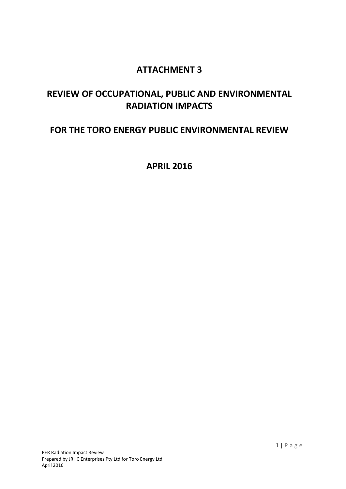# **ATTACHMENT 3**

# **REVIEW OF OCCUPATIONAL, PUBLIC AND ENVIRONMENTAL RADIATION IMPACTS**

# **FOR THE TORO ENERGY PUBLIC ENVIRONMENTAL REVIEW**

**APRIL 2016**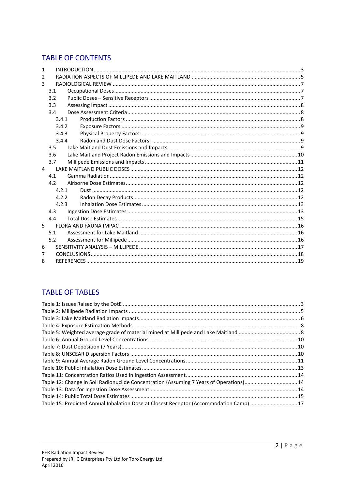## **TABLE OF CONTENTS**

| 1             |       |  |  |
|---------------|-------|--|--|
| $\mathcal{P}$ |       |  |  |
| 3             |       |  |  |
|               | 3.1   |  |  |
|               | 3.2   |  |  |
|               | 3.3   |  |  |
|               | 3.4   |  |  |
|               | 3.4.1 |  |  |
|               | 3.4.2 |  |  |
|               | 3.4.3 |  |  |
|               | 3.4.4 |  |  |
|               | 3.5   |  |  |
|               | 3.6   |  |  |
|               | 3.7   |  |  |
| 4             |       |  |  |
|               | 4.1   |  |  |
|               | 4.2   |  |  |
|               | 4.2.1 |  |  |
|               | 4.2.2 |  |  |
|               | 4.2.3 |  |  |
|               | 4.3   |  |  |
|               | 4.4   |  |  |
| 5             |       |  |  |
|               | 5.1   |  |  |
|               | 5.2   |  |  |
| 6             |       |  |  |
| 7             |       |  |  |
| 8             |       |  |  |

## **TABLE OF TABLES**

| Table 12: Change in Soil Radionuclide Concentration (Assuming 7 Years of Operations) 14 |  |
|-----------------------------------------------------------------------------------------|--|
|                                                                                         |  |
|                                                                                         |  |
| Table 15: Predicted Annual Inhalation Dose at Closest Receptor (Accommodation Camp)  17 |  |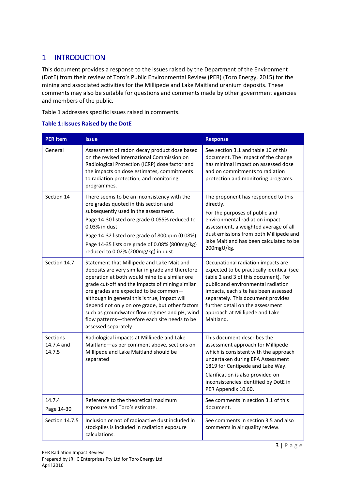## <span id="page-2-0"></span>1 INTRODUCTION

This document provides a response to the issues raised by the Department of the Environment (DotE) from their review of Toro's Public Environmental Review (PER) (Toro Energy, 2015) for the mining and associated activities for the Millipede and Lake Maitland uranium deposits. These comments may also be suitable for questions and comments made by other government agencies and members of the public.

Table 1 addresses specific issues raised in comments.

#### <span id="page-2-1"></span>**Table 1: Issues Raised by the DotE**

| <b>PER Item</b>                  | <b>Issue</b>                                                                                                                                                                                                                                                                                                                                                                                                                                                             | <b>Response</b>                                                                                                                                                                                                                                                                                                                |
|----------------------------------|--------------------------------------------------------------------------------------------------------------------------------------------------------------------------------------------------------------------------------------------------------------------------------------------------------------------------------------------------------------------------------------------------------------------------------------------------------------------------|--------------------------------------------------------------------------------------------------------------------------------------------------------------------------------------------------------------------------------------------------------------------------------------------------------------------------------|
| General                          | Assessment of radon decay product dose based<br>on the revised International Commission on<br>Radiological Protection (ICRP) dose factor and<br>the impacts on dose estimates, commitments<br>to radiation protection, and monitoring<br>programmes.                                                                                                                                                                                                                     | See section 3.1 and table 10 of this<br>document. The impact of the change<br>has minimal impact on assessed dose<br>and on commitments to radiation<br>protection and monitoring programs.                                                                                                                                    |
| Section 14                       | There seems to be an inconsistency with the<br>ore grades quoted in this section and<br>subsequently used in the assessment.<br>Page 14-30 listed ore grade 0.055% reduced to<br>0.03% in dust<br>Page 14-32 listed ore grade of 800ppm (0.08%)<br>Page 14-35 lists ore grade of 0.08% (800mg/kg)<br>reduced to 0.02% (200mg/kg) in dust.                                                                                                                                | The proponent has responded to this<br>directly.<br>For the purposes of public and<br>environmental radiation impact<br>assessment, a weighted average of all<br>dust emissions from both Millipede and<br>lake Maitland has been calculated to be<br>200mgU/kg.                                                               |
| Section 14.7                     | Statement that Millipede and Lake Maitland<br>deposits are very similar in grade and therefore<br>operation at both would mine to a similar ore<br>grade cut-off and the impacts of mining similar<br>ore grades are expected to be common-<br>although in general this is true, impact will<br>depend not only on ore grade, but other factors<br>such as groundwater flow regimes and pH, wind<br>flow patterns-therefore each site needs to be<br>assessed separately | Occupational radiation impacts are<br>expected to be practically identical (see<br>table 2 and 3 of this document). For<br>public and environmental radiation<br>impacts, each site has been assessed<br>separately. This document provides<br>further detail on the assessment<br>approach at Millipede and Lake<br>Maitland. |
| Sections<br>14.7.4 and<br>14.7.5 | Radiological impacts at Millipede and Lake<br>Maitland-as per comment above, sections on<br>Millipede and Lake Maitland should be<br>separated                                                                                                                                                                                                                                                                                                                           | This document describes the<br>assessment approach for Millipede<br>which is consistent with the approach<br>undertaken during EPA Assessment<br>1819 for Centipede and Lake Way.<br>Clarification is also provided on<br>inconsistencies identified by DotE in<br>PER Appendix 10.60.                                         |
| 14.7.4<br>Page 14-30             | Reference to the theoretical maximum<br>exposure and Toro's estimate.                                                                                                                                                                                                                                                                                                                                                                                                    | See comments in section 3.1 of this<br>document.                                                                                                                                                                                                                                                                               |
| Section 14.7.5                   | Inclusion or not of radioactive dust included in<br>stockpiles is included in radiation exposure<br>calculations.                                                                                                                                                                                                                                                                                                                                                        | See comments in section 3.5 and also<br>comments in air quality review.                                                                                                                                                                                                                                                        |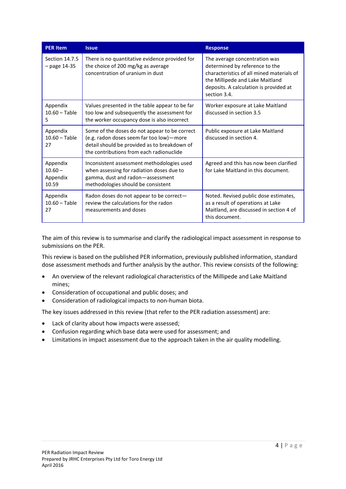| <b>PER Item</b>                            | <b>Issue</b>                                                                                                                                                                          | <b>Response</b>                                                                                                                                                                                           |
|--------------------------------------------|---------------------------------------------------------------------------------------------------------------------------------------------------------------------------------------|-----------------------------------------------------------------------------------------------------------------------------------------------------------------------------------------------------------|
| Section 14.7.5<br>$-$ page 14-35           | There is no quantitative evidence provided for<br>the choice of 200 mg/kg as average<br>concentration of uranium in dust                                                              | The average concentration was<br>determined by reference to the<br>characteristics of all mined materials of<br>the Millipede and Lake Maitland<br>deposits. A calculation is provided at<br>section 3.4. |
| Appendix<br>$10.60 - Table$<br>5           | Values presented in the table appear to be far<br>too low and subsequently the assessment for<br>the worker occupancy dose is also incorrect                                          | Worker exposure at Lake Maitland<br>discussed in section 3.5                                                                                                                                              |
| Appendix<br>$10.60 - Table$<br>27          | Some of the doses do not appear to be correct<br>(e.g. radon doses seem far too low)-more<br>detail should be provided as to breakdown of<br>the contributions from each radionuclide | Public exposure at Lake Maitland<br>discussed in section 4.                                                                                                                                               |
| Appendix<br>$10.60 -$<br>Appendix<br>10.59 | Inconsistent assessment methodologies used<br>when assessing for radiation doses due to<br>gamma, dust and radon-assessment<br>methodologies should be consistent                     | Agreed and this has now been clarified<br>for Lake Maitland in this document.                                                                                                                             |
| Appendix<br>$10.60 - Table$<br>27          | Radon doses do not appear to be correct-<br>review the calculations for the radon<br>measurements and doses                                                                           | Noted. Revised public dose estimates,<br>as a result of operations at Lake<br>Maitland, are discussed in section 4 of<br>this document.                                                                   |

The aim of this review is to summarise and clarify the radiological impact assessment in response to submissions on the PER.

This review is based on the published PER information, previously published information, standard dose assessment methods and further analysis by the author. This review consists of the following:

- An overview of the relevant radiological characteristics of the Millipede and Lake Maitland mines;
- Consideration of occupational and public doses; and
- Consideration of radiological impacts to non-human biota.

The key issues addressed in this review (that refer to the PER radiation assessment) are:

- Lack of clarity about how impacts were assessed;
- Confusion regarding which base data were used for assessment; and
- Limitations in impact assessment due to the approach taken in the air quality modelling.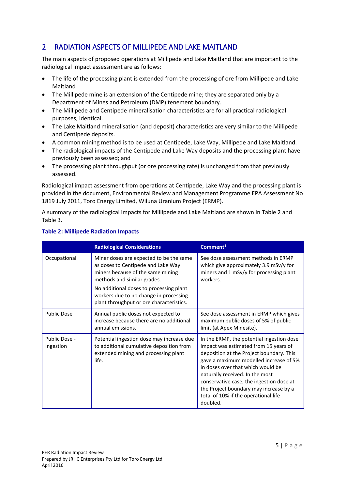## <span id="page-4-0"></span>2 RADIATION ASPECTS OF MILLIPEDE AND LAKE MAITLAND

The main aspects of proposed operations at Millipede and Lake Maitland that are important to the radiological impact assessment are as follows:

- The life of the processing plant is extended from the processing of ore from Millipede and Lake Maitland
- The Millipede mine is an extension of the Centipede mine; they are separated only by a Department of Mines and Petroleum (DMP) tenement boundary.
- The Millipede and Centipede mineralisation characteristics are for all practical radiological purposes, identical.
- The Lake Maitland mineralisation (and deposit) characteristics are very similar to the Millipede and Centipede deposits.
- A common mining method is to be used at Centipede, Lake Way, Millipede and Lake Maitland.
- The radiological impacts of the Centipede and Lake Way deposits and the processing plant have previously been assessed; and
- The processing plant throughput (or ore processing rate) is unchanged from that previously assessed.

Radiological impact assessment from operations at Centipede, Lake Way and the processing plant is provided in the document, Environmental Review and Management Programme EPA Assessment No 1819 July 2011, Toro Energy Limited, Wiluna Uranium Project (ERMP).

A summary of the radiological impacts for Millipede and Lake Maitland are shown i[n Table 2](#page-4-1) and [Table 3.](#page-5-0)

|                                                                                                                                                                      | <b>Radiological Considerations</b>                                                                                                                                                                                                                                                 | Comment <sup>1</sup>                                                                                                                                                                                                                                                                                                                                                                       |
|----------------------------------------------------------------------------------------------------------------------------------------------------------------------|------------------------------------------------------------------------------------------------------------------------------------------------------------------------------------------------------------------------------------------------------------------------------------|--------------------------------------------------------------------------------------------------------------------------------------------------------------------------------------------------------------------------------------------------------------------------------------------------------------------------------------------------------------------------------------------|
| Occupational                                                                                                                                                         | Miner doses are expected to be the same<br>as doses to Centipede and Lake Way<br>miners because of the same mining<br>methods and similar grades.<br>No additional doses to processing plant<br>workers due to no change in processing<br>plant throughput or ore characteristics. | See dose assessment methods in ERMP<br>which give approximately 3.9 mSv/y for<br>miners and 1 mSv/y for processing plant<br>workers.                                                                                                                                                                                                                                                       |
| <b>Public Dose</b>                                                                                                                                                   | Annual public doses not expected to<br>increase because there are no additional<br>annual emissions.                                                                                                                                                                               | See dose assessment in ERMP which gives<br>maximum public doses of 5% of public<br>limit (at Apex Minesite).                                                                                                                                                                                                                                                                               |
| Public Dose -<br>Potential ingestion dose may increase due<br>to additional cumulative deposition from<br>Ingestion<br>extended mining and processing plant<br>life. |                                                                                                                                                                                                                                                                                    | In the ERMP, the potential ingestion dose<br>impact was estimated from 15 years of<br>deposition at the Project boundary. This<br>gave a maximum modelled increase of 5%<br>in doses over that which would be<br>naturally received. In the most<br>conservative case, the ingestion dose at<br>the Project boundary may increase by a<br>total of 10% if the operational life<br>doubled. |

### <span id="page-4-1"></span>**Table 2: Millipede Radiation Impacts**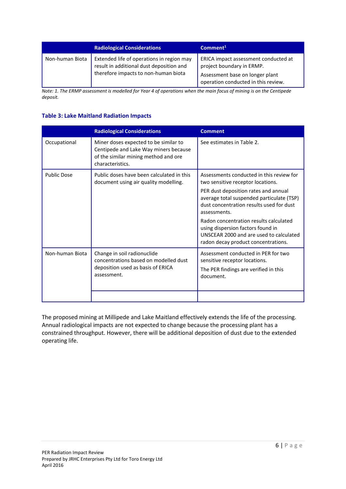|                 | <b>Radiological Considerations</b>                                                                                            | Common <sup>1</sup>                                                                                                                         |
|-----------------|-------------------------------------------------------------------------------------------------------------------------------|---------------------------------------------------------------------------------------------------------------------------------------------|
| Non-human Biota | Extended life of operations in region may<br>result in additional dust deposition and<br>therefore impacts to non-human biota | ERICA impact assessment conducted at<br>project boundary in ERMP.<br>Assessment base on longer plant<br>operation conducted in this review. |

*Note: 1. The ERMP assessment is modelled for Year 4 of operations when the main focus of mining is on the Centipede deposit.* 

#### <span id="page-5-0"></span>**Table 3: Lake Maitland Radiation Impacts**

|                    | <b>Radiological Considerations</b>                                                                                                         | <b>Comment</b>                                                                                                                                                                                                                                                                                                                                                                                  |
|--------------------|--------------------------------------------------------------------------------------------------------------------------------------------|-------------------------------------------------------------------------------------------------------------------------------------------------------------------------------------------------------------------------------------------------------------------------------------------------------------------------------------------------------------------------------------------------|
| Occupational       | Miner doses expected to be similar to<br>Centipede and Lake Way miners because<br>of the similar mining method and ore<br>characteristics. | See estimates in Table 2.                                                                                                                                                                                                                                                                                                                                                                       |
| <b>Public Dose</b> | Public doses have been calculated in this<br>document using air quality modelling.                                                         | Assessments conducted in this review for<br>two sensitive receptor locations.<br>PER dust deposition rates and annual<br>average total suspended particulate (TSP)<br>dust concentration results used for dust<br>assessments.<br>Radon concentration results calculated<br>using dispersion factors found in<br>UNSCEAR 2000 and are used to calculated<br>radon decay product concentrations. |
| Non-human Biota    | Change in soil radionuclide<br>concentrations based on modelled dust<br>deposition used as basis of ERICA<br>assessment.                   | Assessment conducted in PER for two<br>sensitive receptor locations.<br>The PER findings are verified in this<br>document.                                                                                                                                                                                                                                                                      |

The proposed mining at Millipede and Lake Maitland effectively extends the life of the processing. Annual radiological impacts are not expected to change because the processing plant has a constrained throughput. However, there will be additional deposition of dust due to the extended operating life.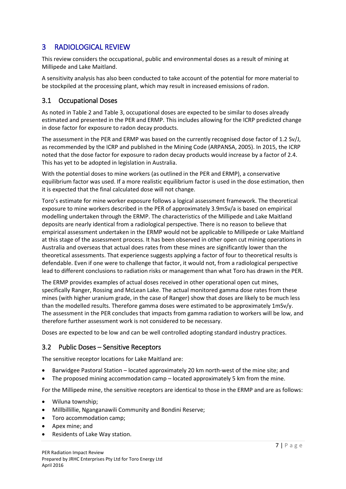## <span id="page-6-0"></span>3 RADIOLOGICAL REVIEW

This review considers the occupational, public and environmental doses as a result of mining at Millipede and Lake Maitland.

A sensitivity analysis has also been conducted to take account of the potential for more material to be stockpiled at the processing plant, which may result in increased emissions of radon.

## <span id="page-6-1"></span>3.1 Occupational Doses

As noted in [Table 2 a](#page-4-1)nd [Table 3,](#page-5-0) occupational doses are expected to be similar to doses already estimated and presented in the PER and ERMP. This includes allowing for the ICRP predicted change in dose factor for exposure to radon decay products.

The assessment in the PER and ERMP was based on the currently recognised dose factor of 1.2 Sv/J, as recommended by the ICRP and published in the Mining Code (ARPANSA, 2005). In 2015, the ICRP noted that the dose factor for exposure to radon decay products would increase by a factor of 2.4. This has yet to be adopted in legislation in Australia.

With the potential doses to mine workers (as outlined in the PER and ERMP), a conservative equilibrium factor was used. If a more realistic equilibrium factor is used in the dose estimation, then it is expected that the final calculated dose will not change.

Toro's estimate for mine worker exposure follows a logical assessment framework. The theoretical exposure to mine workers described in the PER of approximately 3.9mSv/a is based on empirical modelling undertaken through the ERMP. The characteristics of the Millipede and Lake Maitland deposits are nearly identical from a radiological perspective. There is no reason to believe that empirical assessment undertaken in the ERMP would not be applicable to Millipede or Lake Maitland at this stage of the assessment process. It has been observed in other open cut mining operations in Australia and overseas that actual does rates from these mines are significantly lower than the theoretical assessments. That experience suggests applying a factor of four to theoretical results is defendable. Even if one were to challenge that factor, it would not, from a radiological perspective lead to different conclusions to radiation risks or management than what Toro has drawn in the PER.

The ERMP provides examples of actual doses received in other operational open cut mines, specifically Ranger, Rossing and McLean Lake. The actual monitored gamma dose rates from these mines (with higher uranium grade, in the case of Ranger) show that doses are likely to be much less than the modelled results. Therefore gamma doses were estimated to be approximately 1mSv/y. The assessment in the PER concludes that impacts from gamma radiation to workers will be low, and therefore further assessment work is not considered to be necessary.

Doses are expected to be low and can be well controlled adopting standard industry practices.

### <span id="page-6-2"></span>3.2 Public Doses – Sensitive Receptors

The sensitive receptor locations for Lake Maitland are:

- Barwidgee Pastoral Station located approximately 20 km north-west of the mine site; and
- The proposed mining accommodation camp located approximately 5 km from the mine.

For the Millipede mine, the sensitive receptors are identical to those in the ERMP and are as follows:

- Wiluna township;
- Millbillillie, Nganganawili Community and Bondini Reserve;
- Toro accommodation camp;
- Apex mine; and
- Residents of Lake Way station.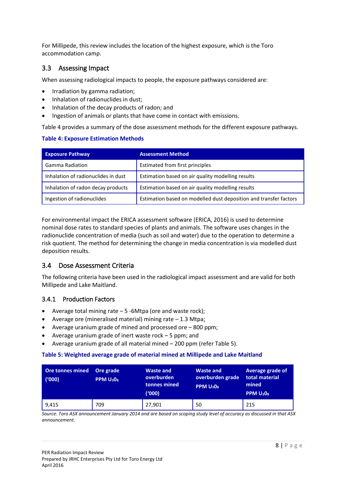For Millipede, this review includes the location of the highest exposure, which is the Toro accommodation camp.

## <span id="page-7-0"></span>3.3 Assessing Impact

When assessing radiological impacts to people, the exposure pathways considered are:

- Irradiation by gamma radiation;
- Inhalation of radionuclides in dust;
- Inhalation of the decay products of radon; and
- Ingestion of animals or plants that have come in contact with emissions.

[Table 4](#page-7-3) provides a summary of the dose assessment methods for the different exposure pathways.

#### <span id="page-7-3"></span>**Table 4: Exposure Estimation Methods**

| <b>Exposure Pathway</b>             | <b>Assessment Method</b>                                          |
|-------------------------------------|-------------------------------------------------------------------|
| <b>Gamma Radiation</b>              | Estimated from first principles                                   |
| Inhalation of radionuclides in dust | Estimation based on air quality modelling results                 |
| Inhalation of radon decay products  | Estimation based on air quality modelling results                 |
| Ingestion of radionuclides          | Estimation based on modelled dust deposition and transfer factors |

For environmental impact the ERICA assessment software (ERICA, 2016) is used to determine nominal dose rates to standard species of plants and animals. The software uses changes in the radionuclide concentration of media (such as soil and water) due to the operation to determine a risk quotient. The method for determining the change in media concentration is via modelled dust deposition results.

## <span id="page-7-1"></span>3.4 Dose Assessment Criteria

The following criteria have been used in the radiological impact assessment and are valid for both Millipede and Lake Maitland.

### <span id="page-7-2"></span>3.4.1 Production Factors

- Average total mining rate 5 -6Mtpa (ore and waste rock);
- Average ore (mineralised material) mining rate  $-1.3$  Mtpa;
- Average uranium grade of mined and processed ore 800 ppm;
- Average uranium grade of inert waste rock 5 ppm; and
- Average uranium grade of all material mined 200 ppm (refer Table 5).

#### <span id="page-7-4"></span>**Table 5: Weighted average grade of material mined at Millipede and Lake Maitland**

| Ore tonnes mined<br>('000) | Ore grade<br>PPM U <sub>3</sub> 0 <sub>8</sub> | <b>Waste and</b><br>overburden<br>tonnes mined<br>('000) | <b>Waste and</b><br>overburden grade<br><b>PPM U<sub>3</sub>0</b> <sub>8</sub> | Average grade of<br>total material<br>mined<br>PPM U <sub>3</sub> 0 <sub>8</sub> |
|----------------------------|------------------------------------------------|----------------------------------------------------------|--------------------------------------------------------------------------------|----------------------------------------------------------------------------------|
| 9,415                      | 709                                            | 27,901                                                   | 50                                                                             | 215                                                                              |

*Source. Toro ASX announcement January 2014 and are based on scoping study level of accuracy as discussed in that ASX announcement.*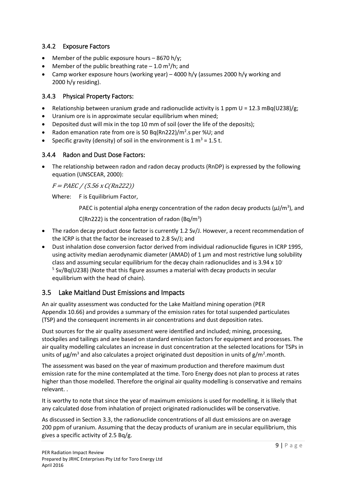## <span id="page-8-0"></span>3.4.2 Exposure Factors

- $\bullet$  Member of the public exposure hours 8670 h/y;
- Member of the public breathing rate  $-1.0 \text{ m}^3/\text{h}$ ; and
- Camp worker exposure hours (working year) 4000 h/y (assumes 2000 h/y working and 2000 h/y residing).

### <span id="page-8-1"></span>3.4.3 Physical Property Factors:

- Relationship between uranium grade and radionuclide activity is 1 ppm  $U = 12.3$  mBq(U238)/g;
- Uranium ore is in approximate secular equilibrium when mined;
- Deposited dust will mix in the top 10 mm of soil (over the life of the deposits);
- Radon emanation rate from ore is 50 Bq(Rn222)/ $m^2$ .s per %U; and
- Specific gravity (density) of soil in the environment is 1  $m^3$  = 1.5 t.

#### <span id="page-8-2"></span>3.4.4 Radon and Dust Dose Factors:

 The relationship between radon and radon decay products (RnDP) is expressed by the following equation (UNSCEAR, 2000):

 $F = PAEC / (5.56 x C(Rn222))$ 

Where: F is Equilibrium Factor,

PAEC is potential alpha energy concentration of the radon decay products ( $\mu$ J/m<sup>3</sup>), and

C(Rn222) is the concentration of radon (Bq/m<sup>3</sup>)

- The radon decay product dose factor is currently 1.2 Sv/J. However, a recent recommendation of the ICRP is that the factor be increased to 2.8 Sv/J; and
- Dust inhalation dose conversion factor derived from individual radionuclide figures in ICRP 1995, using activity median aerodynamic diameter (AMAD) of 1 μm and most restrictive lung solubility class and assuming secular equilibrium for the decay chain radionuclides and is 3.94 x 10- <sup>5</sup> Sv/Bq(U238) (Note that this figure assumes a material with decay products in secular equilibrium with the head of chain).

## <span id="page-8-3"></span>3.5 Lake Maitland Dust Emissions and Impacts

An air quality assessment was conducted for the Lake Maitland mining operation (PER Appendix 10.66) and provides a summary of the emission rates for total suspended particulates (TSP) and the consequent increments in air concentrations and dust deposition rates.

Dust sources for the air quality assessment were identified and included; mining, processing, stockpiles and tailings and are based on standard emission factors for equipment and processes. The air quality modelling calculates an increase in dust concentration at the selected locations for TSPs in units of  $\mu$ g/m<sup>3</sup> and also calculates a project originated dust deposition in units of g/m<sup>2</sup>.month.

The assessment was based on the year of maximum production and therefore maximum dust emission rate for the mine contemplated at the time. Toro Energy does not plan to process at rates higher than those modelled. Therefore the original air quality modelling is conservative and remains relevant. .

It is worthy to note that since the year of maximum emissions is used for modelling, it is likely that any calculated dose from inhalation of project originated radionuclides will be conservative.

As discussed in Section [3.3,](#page-7-0) the radionuclide concentrations of all dust emissions are on average 200 ppm of uranium. Assuming that the decay products of uranium are in secular equilibrium, this gives a specific activity of 2.5 Bq/g.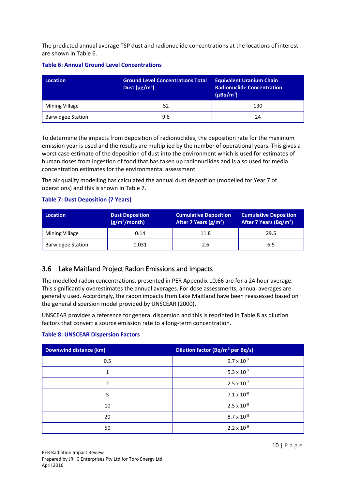The predicted annual average TSP dust and radionuclide concentrations at the locations of interest are shown in [Table 6.](#page-9-1)

| <b>Location</b>          | <b>Ground Level Concentrations Total</b><br>Dust $(\mu g/m^3)$ | <b>Equivalent Uranium Chain</b><br><b>Radionuclide Concentration</b><br>$(\mu Bq/m^3)$ |  |
|--------------------------|----------------------------------------------------------------|----------------------------------------------------------------------------------------|--|
| Mining Village           | 52                                                             | 130                                                                                    |  |
| <b>Barwidgee Station</b> | 9.6                                                            | 24                                                                                     |  |

#### <span id="page-9-1"></span>**Table 6: Annual Ground Level Concentrations**

To determine the impacts from deposition of radionuclides, the deposition rate for the maximum emission year is used and the results are multiplied by the number of operational years. This gives a worst case estimate of the deposition of dust into the environment which is used for estimates of human doses from ingestion of food that has taken up radionuclides and is also used for media concentration estimates for the environmental assessment.

The air quality modelling has calculated the annual dust deposition (modelled for Year 7 of operations) and this is shown in [Table 7.](#page-9-2)

#### <span id="page-9-2"></span>**Table 7: Dust Deposition (7 Years)**

| <b>Location</b>          | <b>Dust Deposition</b><br>(g/m <sup>2</sup> /month) | <b>Cumulative Deposition</b><br>After 7 Years (g/m <sup>2</sup> ) | <b>Cumulative Deposition</b><br>After 7 Years (Bq/m <sup>2</sup> ) |
|--------------------------|-----------------------------------------------------|-------------------------------------------------------------------|--------------------------------------------------------------------|
| Mining Village           | 0.14                                                | 11.8                                                              | 29.5                                                               |
| <b>Barwidgee Station</b> | 0.031                                               | 2.6                                                               | 6.5                                                                |

## <span id="page-9-0"></span>3.6 Lake Maitland Project Radon Emissions and Impacts

The modelled radon concentrations, presented in PER Appendix 10.66 are for a 24 hour average. This significantly overestimates the annual averages. For dose assessments, annual averages are generally used. Accordingly, the radon impacts from Lake Maitland have been reassessed based on the general dispersion model provided by UNSCEAR (2000).

UNSCEAR provides a reference for general dispersion and this is reprinted i[n Table 8](#page-9-3) as dilution factors that convert a source emission rate to a long-term concentration.

#### <span id="page-9-3"></span>**Table 8: UNSCEAR Dispersion Factors**

| <b>Downwind distance (km)</b> | Dilution factor (Bq/m <sup>3</sup> per Bq/s) |
|-------------------------------|----------------------------------------------|
| 0.5                           | $9.7 \times 10^{-7}$                         |
| 1                             | $5.3 \times 10^{-7}$                         |
| 2                             | $2.5 \times 10^{-7}$                         |
| 5                             | $7.1 \times 10^{-8}$                         |
| 10                            | $2.5 \times 10^{-8}$                         |
| 20                            | $8.7 \times 10^{-8}$                         |
| 50                            | $2.2 \times 10^{-9}$                         |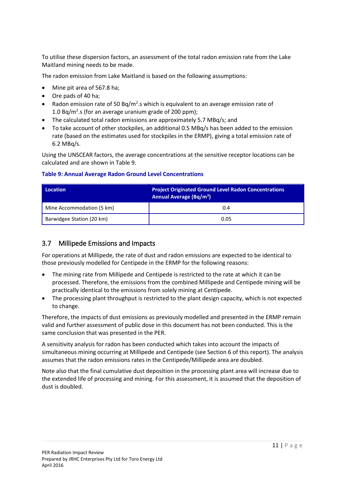To utilise these dispersion factors, an assessment of the total radon emission rate from the Lake Maitland mining needs to be made.

The radon emission from Lake Maitland is based on the following assumptions:

- Mine pit area of 567.8 ha;
- Ore pads of 40 ha;
- Radon emission rate of 50 Bq/m<sup>2</sup>.s which is equivalent to an average emission rate of 1.0 Bq/ $m^2$ .s (for an average uranium grade of 200 ppm);
- The calculated total radon emissions are approximately 5.7 MBq/s; and
- To take account of other stockpiles, an additional 0.5 MBq/s has been added to the emission rate (based on the estimates used for stockpiles in the ERMP), giving a total emission rate of 6.2 MBq/s.

Using the UNSCEAR factors, the average concentrations at the sensitive receptor locations can be calculated and are shown in [Table 9.](#page-10-1)

#### <span id="page-10-1"></span>**Table 9: Annual Average Radon Ground Level Concentrations**

| Location                  | <b>Project Originated Ground Level Radon Concentrations</b><br>Annual Average (Bq/m <sup>3</sup> ) |
|---------------------------|----------------------------------------------------------------------------------------------------|
| Mine Accommodation (5 km) | 0.4                                                                                                |
| Barwidgee Station (20 km) | 0.05                                                                                               |

## <span id="page-10-0"></span>3.7 Millipede Emissions and Impacts

For operations at Millipede, the rate of dust and radon emissions are expected to be identical to those previously modelled for Centipede in the ERMP for the following reasons:

- The mining rate from Millipede and Centipede is restricted to the rate at which it can be processed. Therefore, the emissions from the combined Millipede and Centipede mining will be practically identical to the emissions from solely mining at Centipede.
- The processing plant throughput is restricted to the plant design capacity, which is not expected to change.

Therefore, the impacts of dust emissions as previously modelled and presented in the ERMP remain valid and further assessment of public dose in this document has not been conducted. This is the same conclusion that was presented in the PER.

A sensitivity analysis for radon has been conducted which takes into account the impacts of simultaneous mining occurring at Millipede and Centipede (see Section [6](#page-16-0) of this report). The analysis assumes that the radon emissions rates in the Centipede/Millipede area are doubled.

Note also that the final cumulative dust deposition in the processing plant area will increase due to the extended life of processing and mining. For this assessment, it is assumed that the deposition of dust is doubled.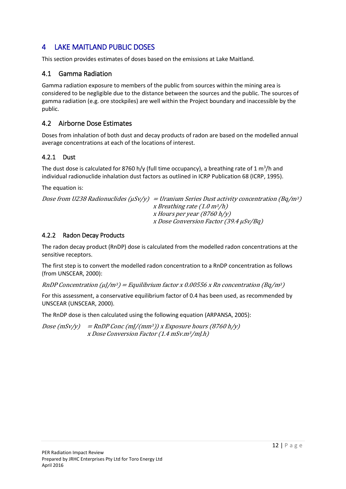## <span id="page-11-0"></span>4 LAKE MAITLAND PUBLIC DOSES

This section provides estimates of doses based on the emissions at Lake Maitland.

## <span id="page-11-1"></span>4.1 Gamma Radiation

Gamma radiation exposure to members of the public from sources within the mining area is considered to be negligible due to the distance between the sources and the public. The sources of gamma radiation (e.g. ore stockpiles) are well within the Project boundary and inaccessible by the public.

## <span id="page-11-2"></span>4.2 Airborne Dose Estimates

Doses from inhalation of both dust and decay products of radon are based on the modelled annual average concentrations at each of the locations of interest.

## <span id="page-11-3"></span>4.2.1 Dust

The dust dose is calculated for 8760 h/y (full time occupancy), a breathing rate of 1 m<sup>3</sup>/h and individual radionuclide inhalation dust factors as outlined in ICRP Publication 68 (ICRP, 1995).

The equation is:

```
Dose from U238 Radionuclides (\muSv/y) = Uranium Series Dust activity concentration (Bq/m<sup>3</sup>)
                               x Breathing rate (1.0 \text{ m}^3/h)x Hours per year (8760 h/y) 
                               x Dose Conversion Factor (39.4 μSv/Bq)
```
### <span id="page-11-4"></span>4.2.2 Radon Decay Products

The radon decay product (RnDP) dose is calculated from the modelled radon concentrations at the sensitive receptors.

The first step is to convert the modelled radon concentration to a RnDP concentration as follows (from UNSCEAR, 2000):

RnDP Concentration ( $\mu$ /m<sup>3</sup>) = Equilibrium factor x 0.00556 x Rn concentration (Bq/m<sup>3</sup>)

For this assessment, a conservative equilibrium factor of 0.4 has been used, as recommended by UNSCEAR (UNSCEAR, 2000).

The RnDP dose is then calculated using the following equation (ARPANSA, 2005):

 $Dose (mSv/y) = RnDP Conc (m]/(mm^3))$  x Exposure hours (8760 h/y) x Dose Conversion Factor (1.4 mSv.m3/mJ.h)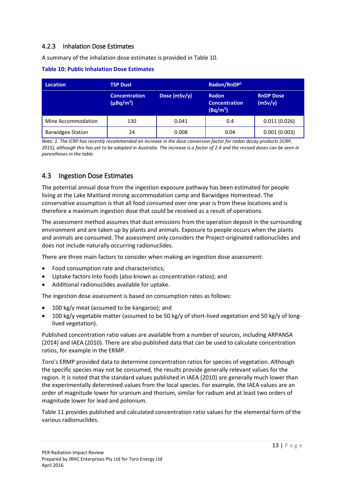## <span id="page-12-0"></span>4.2.3 Inhalation Dose Estimates

A summary of the inhalation dose estimates is provided in [Table 10.](#page-12-2)

<span id="page-12-2"></span>

| Location                 | <b>TSP Dust</b>                        |              | Radon/RnDP <sup>1</sup>                                      |                             |  |
|--------------------------|----------------------------------------|--------------|--------------------------------------------------------------|-----------------------------|--|
|                          | <b>Concentration</b><br>$(\mu Bq/m^3)$ | Dose (mSv/y) | <b>Radon</b><br><b>Concentration</b><br>(Bq/m <sup>3</sup> ) | <b>RnDP Dose</b><br>(mSv/y) |  |
| Mine Accommodation       | 130                                    | 0.041        | 0.4                                                          | 0.011(0.026)                |  |
| <b>Barwidgee Station</b> | 24                                     | 0.008        | 0.04                                                         | 0.001(0.003)                |  |

*Note: 1. The ICRP has recently recommended an increase in the dose conversion factor for radon decay products (ICRP, 2015), although this has yet to be adopted in Australia. The increase is a factor of 2.4 and the revised doses can be seen in parentheses in the table.* 

## <span id="page-12-1"></span>4.3 Ingestion Dose Estimates

The potential annual dose from the ingestion exposure pathway has been estimated for people living at the Lake Maitland mining accommodation camp and Barwidgee Homestead. The conservative assumption is that all food consumed over one year is from these locations and is therefore a maximum ingestion dose that could be received as a result of operations.

The assessment method assumes that dust emissions from the operation deposit in the surrounding environment and are taken up by plants and animals. Exposure to people occurs when the plants and animals are consumed. The assessment only considers the Project-originated radionuclides and does not include naturally occurring radionuclides.

There are three main factors to consider when making an ingestion dose assessment:

- Food consumption rate and characteristics;
- Uptake factors into foods (also known as concentration ratios); and
- Additional radionuclides available for uptake.

The ingestion dose assessment is based on consumption rates as follows:

- 100 kg/y meat (assumed to be kangaroo); and
- 100 kg/y vegetable matter (assumed to be 50 kg/y of short-lived vegetation and 50 kg/y of longlived vegetation).

Published concentration ratio values are available from a number of sources, including ARPANSA (2014) and IAEA (2010). There are also published data that can be used to calculate concentration ratios, for example in the ERMP.

Toro's ERMP provided data to determine concentration ratios for species of vegetation. Although the specific species may not be consumed, the results provide generally relevant values for the region. It is noted that the standard values published in IAEA (2010) are generally much lower than the experimentally determined values from the local species. For example, the IAEA values are an order of magnitude lower for uranium and thorium, similar for radium and at least two orders of magnitude lower for lead and polonium.

[Table 11](#page-13-0) provides published and calculated concentration ratio values for the elemental form of the various radionuclides.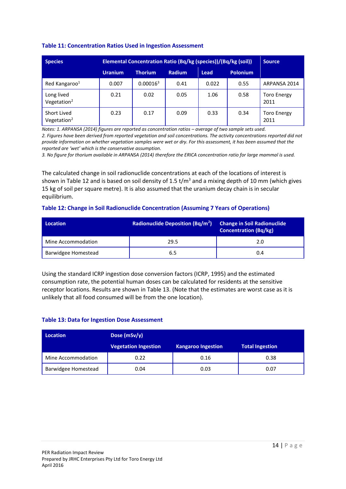| <b>Species</b>                | Elemental Concentration Ratio (Bq/kg (species))/(Bq/kg (soil)) |                      |               |       | <b>Source</b>   |                            |
|-------------------------------|----------------------------------------------------------------|----------------------|---------------|-------|-----------------|----------------------------|
|                               | <b>Uranium</b>                                                 | <b>Thorium</b>       | <b>Radium</b> | Lead  | <b>Polonium</b> |                            |
| Red Kangaroo <sup>1</sup>     | 0.007                                                          | 0.00016 <sup>3</sup> | 0.41          | 0.022 | 0.55            | ARPANSA 2014               |
| Long lived<br>Vegetation $2$  | 0.21                                                           | 0.02                 | 0.05          | 1.06  | 0.58            | <b>Toro Energy</b><br>2011 |
| Short Lived<br>Vegetation $2$ | 0.23                                                           | 0.17                 | 0.09          | 0.33  | 0.34            | <b>Toro Energy</b><br>2011 |

#### <span id="page-13-0"></span>**Table 11: Concentration Ratios Used in Ingestion Assessment**

*Notes: 1. ARPANSA (2014) figures are reported as concentration ratios – average of two sample sets used. 2. Figures have been derived from reported vegetation and soil concentrations. The activity concentrations reported did not provide information on whether vegetation samples were wet or dry. For this assessment, it has been assumed that the reported are 'wet' which is the conservative assumption.* 

*3. No figure for thorium available in ARPANSA (2014) therefore the ERICA concentration ratio for large mammal is used.* 

The calculated change in soil radionuclide concentrations at each of the locations of interest is shown in [Table 12](#page-13-1) and is based on soil density of 1.5 t/m<sup>3</sup> and a mixing depth of 10 mm (which gives 15 kg of soil per square metre). It is also assumed that the uranium decay chain is in secular equilibrium.

#### <span id="page-13-1"></span>**Table 12: Change in Soil Radionuclide Concentration (Assuming 7 Years of Operations)**

| <b>Location</b>     | <b>Radionuclide Deposition (Bq/m<sup>2</sup>)</b> | <b>Change in Soil Radionuclide</b><br><b>Concentration (Bq/kg)</b> |  |
|---------------------|---------------------------------------------------|--------------------------------------------------------------------|--|
| Mine Accommodation  | 29.5                                              | 2.0                                                                |  |
| Barwidgee Homestead | 6.5                                               | 0.4                                                                |  |

Using the standard ICRP ingestion dose conversion factors (ICRP, 1995) and the estimated consumption rate, the potential human doses can be calculated for residents at the sensitive receptor locations. Results are shown in [Table 13.](#page-13-2) (Note that the estimates are worst case as it is unlikely that all food consumed will be from the one location).

#### <span id="page-13-2"></span>**Table 13: Data for Ingestion Dose Assessment**

| Location                   | Dose $(mSv/y)$              |                           |                        |  |
|----------------------------|-----------------------------|---------------------------|------------------------|--|
|                            | <b>Vegetation Ingestion</b> | <b>Kangaroo Ingestion</b> | <b>Total Ingestion</b> |  |
| Mine Accommodation         | 0.22                        | 0.16                      | 0.38                   |  |
| <b>Barwidgee Homestead</b> | 0.04                        | 0.03                      | 0.07                   |  |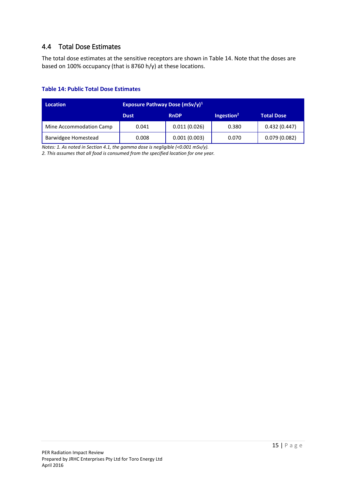## <span id="page-14-0"></span>4.4 Total Dose Estimates

The total dose estimates at the sensitive receptors are shown in [Table 14.](#page-14-1) Note that the doses are based on 100% occupancy (that is 8760 h/y) at these locations.

### <span id="page-14-1"></span>**Table 14: Public Total Dose Estimates**

| <b>Location</b>            | Exposure Pathway Dose $(mSv/y)^1$ |              |                        |                   |  |
|----------------------------|-----------------------------------|--------------|------------------------|-------------------|--|
|                            | <b>Dust</b>                       | <b>RnDP</b>  | Ingestion <sup>2</sup> | <b>Total Dose</b> |  |
| Mine Accommodation Camp    | 0.041                             | 0.011(0.026) | 0.380                  | 0.432(0.447)      |  |
| <b>Barwidgee Homestead</b> | 0.008                             | 0.001(0.003) | 0.070                  | 0.079(0.082)      |  |

*Notes: 1. As noted in Sectio[n 4.1,](#page-11-1) the gamma dose is negligible (<0.001 mSv/y).* 

*2. This assumes that all food is consumed from the specified location for one year.*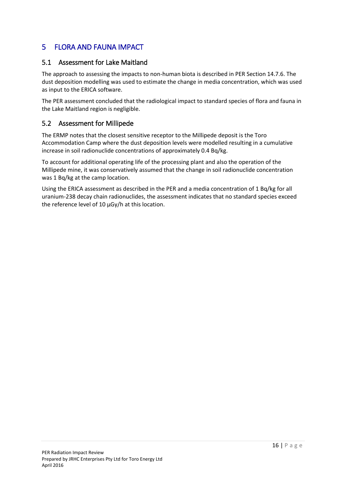## <span id="page-15-0"></span>5 FLORA AND FAUNA IMPACT

## <span id="page-15-1"></span>5.1 Assessment for Lake Maitland

The approach to assessing the impacts to non-human biota is described in PER Section 14.7.6. The dust deposition modelling was used to estimate the change in media concentration, which was used as input to the ERICA software.

The PER assessment concluded that the radiological impact to standard species of flora and fauna in the Lake Maitland region is negligible.

### <span id="page-15-2"></span>5.2 Assessment for Millipede

The ERMP notes that the closest sensitive receptor to the Millipede deposit is the Toro Accommodation Camp where the dust deposition levels were modelled resulting in a cumulative increase in soil radionuclide concentrations of approximately 0.4 Bq/kg.

To account for additional operating life of the processing plant and also the operation of the Millipede mine, it was conservatively assumed that the change in soil radionuclide concentration was 1 Bq/kg at the camp location.

Using the ERICA assessment as described in the PER and a media concentration of 1 Bq/kg for all uranium-238 decay chain radionuclides, the assessment indicates that no standard species exceed the reference level of 10 μGy/h at this location.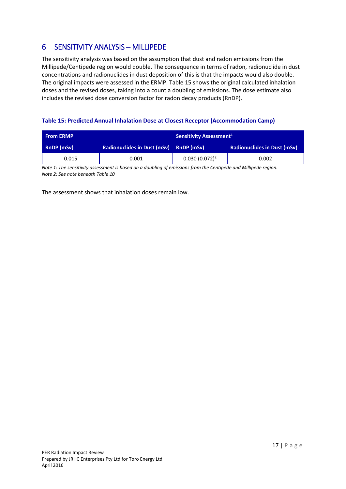## <span id="page-16-0"></span>6 SENSITIVITY ANALYSIS – MILLIPEDE

The sensitivity analysis was based on the assumption that dust and radon emissions from the Millipede/Centipede region would double. The consequence in terms of radon, radionuclide in dust concentrations and radionuclides in dust deposition of this is that the impacts would also double. The original impacts were assessed in the ERMP. [Table 15 s](#page-16-1)hows the original calculated inhalation doses and the revised doses, taking into a count a doubling of emissions. The dose estimate also includes the revised dose conversion factor for radon decay products (RnDP).

#### <span id="page-16-1"></span>**Table 15: Predicted Annual Inhalation Dose at Closest Receptor (Accommodation Camp)**

| <b>From ERMP</b>                                 |       | Sensitivity Assessment <sup>1</sup> |                                    |  |
|--------------------------------------------------|-------|-------------------------------------|------------------------------------|--|
| <b>Radionuclides in Dust (mSv)</b><br>RnDP (mSv) |       | RnDP (mSv)                          | <b>Radionuclides in Dust (mSv)</b> |  |
| 0.015                                            | 0.001 | $0.030(0.072)^2$                    | 0.002                              |  |

*Note 1: The sensitivity assessment is based on a doubling of emissions from the Centipede and Millipede region. Note 2: See note beneat[h Table 10](#page-12-2)*

The assessment shows that inhalation doses remain low.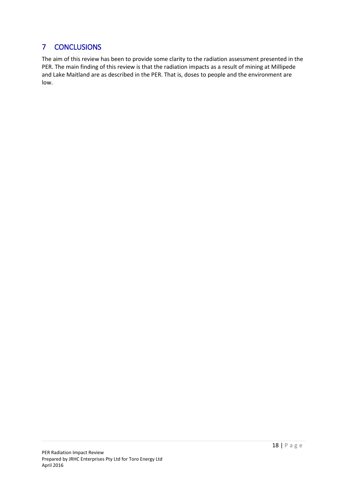## <span id="page-17-0"></span>7 CONCLUSIONS

The aim of this review has been to provide some clarity to the radiation assessment presented in the PER. The main finding of this review is that the radiation impacts as a result of mining at Millipede and Lake Maitland are as described in the PER. That is, doses to people and the environment are low.